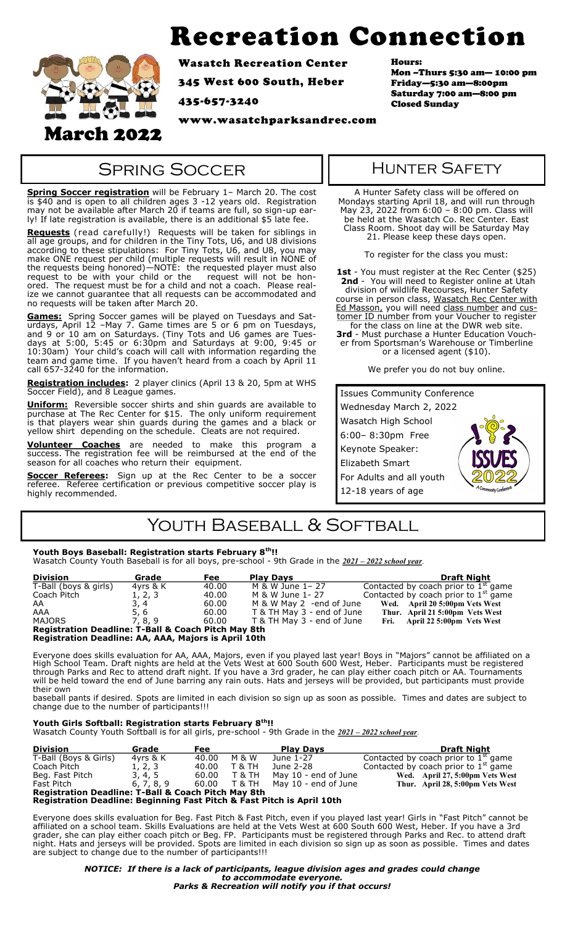# Recreation Connection



Wasatch Recreation Center

345 West 600 South, Heber

435-657-3240

www.wasatchparksandrec.com

Hours:

Mon –Thurs 5:30 am— 10:00 pm Friday—5:30 am—8:00pm Saturday 7:00 am—8:00 pm Closed Sunday

### **SPRING SOCCER**

**Spring Soccer registration** will be February 1– March 20. The cost is \$40 and is open to all children ages 3 -12 years old. Registration may not be available after March 20 if teams are full, so sign-up early! If late registration is available, there is an additional \$5 late fee.

**Requests** (read carefully!) Requests will be taken for siblings in all age groups, and for children in the Tiny Tots, U6, and U8 divisions according to these stipulations: For Tiny Tots, U6, and U8, you may make ONE request per child (multiple requests will result in NONE of the requests being honored)—NOTE: the requested player must also request to be with your child or the request will not be honored. The request must be for a child and not a coach. Please realize we cannot guarantee that all requests can be accommodated and no requests will be taken after March 20.

**Games:** Spring Soccer games will be played on Tuesdays and Saturdays, April 12 –May 7. Game times are 5 or 6 pm on Tuesdays, and 9 or 10 am on Saturdays. (Tiny Tots and U6 games are Tuesdays at 5:00, 5:45 or 6:30pm and Saturdays at 9:00, 9:45 or 10:30am) Your child's coach will call with information regarding the team and game time. If you haven't heard from a coach by April 11 call 657-3240 for the information.

**Registration includes:** 2 player clinics (April 13 & 20, 5pm at WHS Soccer Field), and 8 League games.

**Uniform:** Reversible soccer shirts and shin guards are available to purchase at The Rec Center for \$15. The only uniform requirement is that players wear shin guards during the games and a black or yellow shirt depending on the schedule. Cleats are not required.

**Volunteer Coaches** are needed to make this program a success. The registration fee will be reimbursed at the end of the season for all coaches who return their equipment.

**Soccer Referees:** Sign up at the Rec Center to be a soccer referee. Referee certification or previous competitive soccer play is highly recommended.

### Hunter Safety

A Hunter Safety class will be offered on Mondays starting April 18, and will run through May 23, 2022 from 6:00 – 8:00 pm. Class will be held at the Wasatch Co. Rec Center. East Class Room. Shoot day will be Saturday May 21. Please keep these days open.

To register for the class you must:

**1st** - You must register at the Rec Center (\$25) **2nd** - You will need to Register online at Utah division of wildlife Recourses, Hunter Safety course in person class, Wasatch Rec Center with Ed Masson, you will need class number and customer ID number from your Voucher to register

for the class on line at the DWR web site. **3rd** - Must purchase a Hunter Education Voucher from Sportsman's Warehouse or Timberline or a licensed agent (\$10).

We prefer you do not buy online.

| <b>Issues Community Conference</b> |  |  |  |
|------------------------------------|--|--|--|
| Wednesday March 2, 2022            |  |  |  |
| Wasatch High School                |  |  |  |
| 6:00-8:30pm Free                   |  |  |  |
| Keynote Speaker:                   |  |  |  |
| Elizabeth Smart                    |  |  |  |
| For Adults and all youth           |  |  |  |
| 12-18 years of age                 |  |  |  |

## YOUTH BASEBALL & SOFTBALL

#### **Youth Boys Baseball: Registration starts February 8th!!**

Wasatch County Youth Baseball is for all boys, pre-school - 9th Grade in the *2021 – 2022 school year*.

| <b>Division</b>                                                | Grade    | Fee   | <b>Play Days</b>           | <b>Draft Night</b>                     |
|----------------------------------------------------------------|----------|-------|----------------------------|----------------------------------------|
| T-Ball (boys & girls)                                          | 4vrs & K | 40.00 | M & W June 1-27            | Contacted by coach prior to $1st$ game |
| Coach Pitch                                                    | 1, 2, 3  | 40.00 | M & W June 1- 27           | Contacted by coach prior to $1st$ game |
| AA                                                             | 3, 4     | 60.00 | M & W May 2 -end of June   | Wed. April 20 5:00pm Vets West         |
| AAA                                                            | 5.6      | 60.00 | T & TH May 3 - end of June | Thur. April 21 5:00pm Vets West        |
| MAJORS                                                         | 7, 8, 9  | 60.00 | T & TH May 3 - end of June | Fri. April 22 5:00pm Vets West         |
| <b>Registration Deadline: T-Ball &amp; Coach Pitch May 8th</b> |          |       |                            |                                        |
| <b>Registration Deadline: AA, AAA, Majors is April 10th</b>    |          |       |                            |                                        |

Everyone does skills evaluation for AA, AAA, Majors, even if you played last year! Boys in "Majors" cannot be affiliated on a High School Team. Draft nights are held at the Vets West at 600 South 600 West, Heber. Participants must be registered through Parks and Rec to attend draft night. If you have a 3rd grader, he can play either coach pitch or AA. Tournaments will be held toward the end of June barring any rain outs. Hats and jerseys will be provided, but participants must provide their own

baseball pants if desired*.* Spots are limited in each division so sign up as soon as possible*.* Times and dates are subject to change due to the number of participants!!!

#### **Youth Girls Softball: Registration starts February 8th!!**

Wasatch County Youth Softball is for all girls, pre-school - 9th Grade in the *2021 – 2022 school year*.

| <b>Division</b>                                                | Grade      | Fee   |                   | <b>Play Davs</b>     | <b>Draft Night</b>                     |  |  |
|----------------------------------------------------------------|------------|-------|-------------------|----------------------|----------------------------------------|--|--|
| T-Ball (Boys & Girls)                                          | 4vrs & K   | 40.00 | M & W             | June 1-27            | Contacted by coach prior to $1st$ game |  |  |
| Coach Pitch                                                    | 1, 2, 3    | 40.00 | T & TH            | June 2-28            | Contacted by coach prior to $1st$ game |  |  |
| Beg. Fast Pitch                                                | 3, 4, 5    | 60.00 | <b>T &amp; TH</b> | May 10 - end of June | Wed. April 27, 5:00pm Vets West        |  |  |
| Fast Pitch                                                     | 6, 7, 8, 9 | 60.00 | T & TH            | May 10 - end of June | Thur. April 28, 5:00pm Vets West       |  |  |
| <b>Registration Deadline: T-Ball &amp; Coach Pitch May 8th</b> |            |       |                   |                      |                                        |  |  |

#### **Registration Deadline: Beginning Fast Pitch & Fast Pitch is April 10th**

Everyone does skills evaluation for Beg. Fast Pitch & Fast Pitch, even if you played last year! Girls in "Fast Pitch" cannot be affiliated on a school team. Skills Evaluations are held at the Vets West at 600 South 600 West, Heber. If you have a 3rd grader, she can play either coach pitch or Beg. FP. Participants must be registered through Parks and Rec. to attend draft night. Hats and jerseys will be provided. Spots are limited in each division so sign up as soon as possible. Times and dates are subject to change due to the number of participants!!!

> *NOTICE: If there is a lack of participants, league division ages and grades could change to accommodate everyone. Parks & Recreation will notify you if that occurs!*